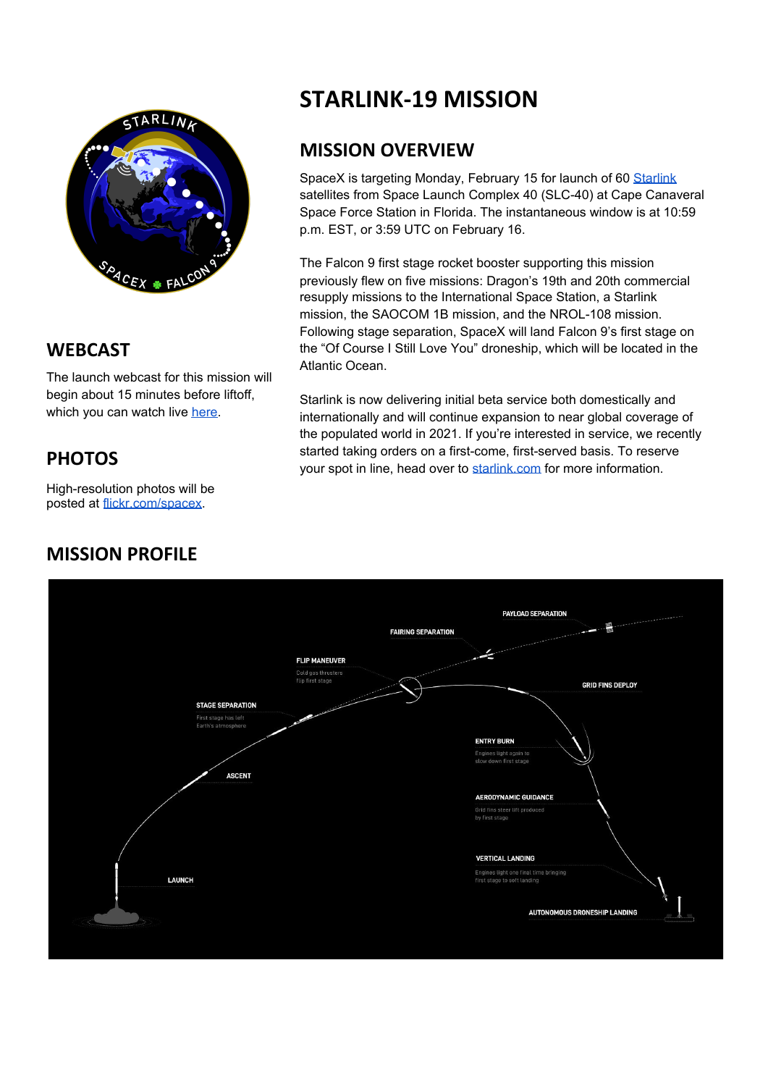

#### **WEBCAST**

The launch webcast for this mission will begin about 15 minutes before liftoff, which you can watch live [here.](https://www.youtube.com/watch?v=L0dkyV09Zso)

# **PHOTOS**

High-resolution photos will be posted at [flickr.com/spacex.](https://www.flickr.com/spacex/)

## **MISSION PROFILE**

# **STARLINK-19 MISSION**

#### **MISSION OVERVIEW**

SpaceX is targeting Monday, February 15 for launch of 60 [Starlink](https://www.spacex.com/static/images/patches/Starlink_FINALpng.png) satellites from Space Launch Complex 40 (SLC-40) at Cape Canaveral Space Force Station in Florida. The instantaneous window is at 10:59 p.m. EST, or 3:59 UTC on February 16.

The Falcon 9 first stage rocket booster supporting this mission previously flew on five missions: Dragon's 19th and 20th commercial resupply missions to the International Space Station, a Starlink mission, the SAOCOM 1B mission, and the NROL-108 mission. Following stage separation, SpaceX will land Falcon 9's first stage on the "Of Course I Still Love You" droneship, which will be located in the Atlantic Ocean.

Starlink is now delivering initial beta service both domestically and internationally and will continue expansion to near global coverage of the populated world in 2021. If you're interested in service, we recently started taking orders on a first-come, first-served basis. To reserve your spot in line, head over to [starlink.com](https://www.starlink.com/) for more information.